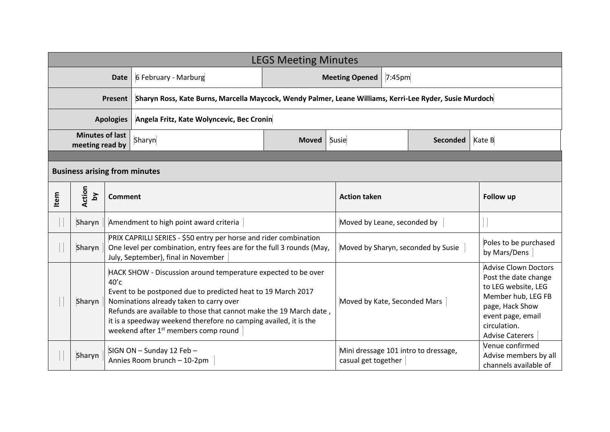|                                           | <b>LEGS Meeting Minutes</b>          |                                                                                                                                                                                                                                                                                                                                                                                   |                                                                                                                                                                                   |                                    |                                                             |                                       |                                                                                                                                                                                    |  |  |
|-------------------------------------------|--------------------------------------|-----------------------------------------------------------------------------------------------------------------------------------------------------------------------------------------------------------------------------------------------------------------------------------------------------------------------------------------------------------------------------------|-----------------------------------------------------------------------------------------------------------------------------------------------------------------------------------|------------------------------------|-------------------------------------------------------------|---------------------------------------|------------------------------------------------------------------------------------------------------------------------------------------------------------------------------------|--|--|
| <b>Date</b>                               |                                      |                                                                                                                                                                                                                                                                                                                                                                                   | 6 February - Marburg                                                                                                                                                              | 7:45pm<br><b>Meeting Opened</b>    |                                                             |                                       |                                                                                                                                                                                    |  |  |
| Present                                   |                                      |                                                                                                                                                                                                                                                                                                                                                                                   | Sharyn Ross, Kate Burns, Marcella Maycock, Wendy Palmer, Leane Williams, Kerri-Lee Ryder, Susie Murdoch                                                                           |                                    |                                                             |                                       |                                                                                                                                                                                    |  |  |
| <b>Apologies</b>                          |                                      |                                                                                                                                                                                                                                                                                                                                                                                   | Angela Fritz, Kate Wolyncevic, Bec Cronin                                                                                                                                         |                                    |                                                             |                                       |                                                                                                                                                                                    |  |  |
| <b>Minutes of last</b><br>meeting read by |                                      |                                                                                                                                                                                                                                                                                                                                                                                   | Sharyn                                                                                                                                                                            | <b>Moved</b>                       | Susie<br><b>Seconded</b>                                    |                                       | Kate B                                                                                                                                                                             |  |  |
|                                           |                                      |                                                                                                                                                                                                                                                                                                                                                                                   |                                                                                                                                                                                   |                                    |                                                             |                                       |                                                                                                                                                                                    |  |  |
|                                           | <b>Business arising from minutes</b> |                                                                                                                                                                                                                                                                                                                                                                                   |                                                                                                                                                                                   |                                    |                                                             |                                       |                                                                                                                                                                                    |  |  |
| Item                                      | Action<br>$\mathsf{S}$               | <b>Comment</b>                                                                                                                                                                                                                                                                                                                                                                    |                                                                                                                                                                                   |                                    | <b>Action taken</b>                                         |                                       | <b>Follow up</b>                                                                                                                                                                   |  |  |
|                                           | Sharyn                               | Amendment to high point award criteria                                                                                                                                                                                                                                                                                                                                            |                                                                                                                                                                                   |                                    | Moved by Leane, seconded by                                 |                                       |                                                                                                                                                                                    |  |  |
|                                           | <b>Sharyn</b>                        |                                                                                                                                                                                                                                                                                                                                                                                   | PRIX CAPRILLI SERIES - \$50 entry per horse and rider combination<br>One level per combination, entry fees are for the full 3 rounds (May,<br>July, September), final in November | Moved by Sharyn, seconded by Susie |                                                             | Poles to be purchased<br>by Mars/Dens |                                                                                                                                                                                    |  |  |
|                                           | <b>Sharyn</b>                        | HACK SHOW - Discussion around temperature expected to be over<br>$40′$ c<br>Event to be postponed due to predicted heat to 19 March 2017<br>Nominations already taken to carry over<br>Refunds are available to those that cannot make the 19 March date,<br>it is a speedway weekend therefore no camping availed, it is the<br>weekend after 1 <sup>st</sup> members comp round |                                                                                                                                                                                   |                                    | Moved by Kate, Seconded Mars                                |                                       | <b>Advise Clown Doctors</b><br>Post the date change<br>to LEG website, LEG<br>Member hub, LEG FB<br>page, Hack Show<br>event page, email<br>circulation.<br><b>Advise Caterers</b> |  |  |
|                                           | Sharyn                               | SIGN ON - Sunday 12 Feb -<br>Annies Room brunch - 10-2pm                                                                                                                                                                                                                                                                                                                          |                                                                                                                                                                                   |                                    | Mini dressage 101 intro to dressage,<br>casual get together |                                       | Venue confirmed<br>Advise members by all<br>channels available of                                                                                                                  |  |  |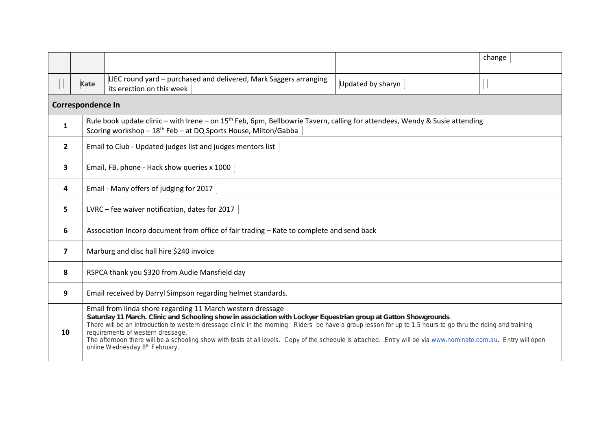|                |                                                                                                                                                                                                                      |                                                                                                                                                                                                                                                                                                                                                                                                                                                                                                                                                                                           |                   | change |  |  |  |  |
|----------------|----------------------------------------------------------------------------------------------------------------------------------------------------------------------------------------------------------------------|-------------------------------------------------------------------------------------------------------------------------------------------------------------------------------------------------------------------------------------------------------------------------------------------------------------------------------------------------------------------------------------------------------------------------------------------------------------------------------------------------------------------------------------------------------------------------------------------|-------------------|--------|--|--|--|--|
|                | Kate                                                                                                                                                                                                                 | LIEC round yard – purchased and delivered, Mark Saggers arranging<br>its erection on this week                                                                                                                                                                                                                                                                                                                                                                                                                                                                                            | Updated by sharyn |        |  |  |  |  |
|                | <b>Correspondence In</b>                                                                                                                                                                                             |                                                                                                                                                                                                                                                                                                                                                                                                                                                                                                                                                                                           |                   |        |  |  |  |  |
| $\mathbf{1}$   | Rule book update clinic - with Irene - on 15 <sup>th</sup> Feb, 6pm, Bellbowrie Tavern, calling for attendees, Wendy & Susie attending<br>Scoring workshop - 18 <sup>th</sup> Feb - at DQ Sports House, Milton/Gabba |                                                                                                                                                                                                                                                                                                                                                                                                                                                                                                                                                                                           |                   |        |  |  |  |  |
| $\overline{2}$ | Email to Club - Updated judges list and judges mentors list                                                                                                                                                          |                                                                                                                                                                                                                                                                                                                                                                                                                                                                                                                                                                                           |                   |        |  |  |  |  |
| 3              | Email, FB, phone - Hack show queries x 1000                                                                                                                                                                          |                                                                                                                                                                                                                                                                                                                                                                                                                                                                                                                                                                                           |                   |        |  |  |  |  |
| 4              | Email - Many offers of judging for 2017                                                                                                                                                                              |                                                                                                                                                                                                                                                                                                                                                                                                                                                                                                                                                                                           |                   |        |  |  |  |  |
| 5              | LVRC - fee waiver notification, dates for 2017                                                                                                                                                                       |                                                                                                                                                                                                                                                                                                                                                                                                                                                                                                                                                                                           |                   |        |  |  |  |  |
| 6              | Association Incorp document from office of fair trading - Kate to complete and send back                                                                                                                             |                                                                                                                                                                                                                                                                                                                                                                                                                                                                                                                                                                                           |                   |        |  |  |  |  |
| $\overline{7}$ |                                                                                                                                                                                                                      | Marburg and disc hall hire \$240 invoice                                                                                                                                                                                                                                                                                                                                                                                                                                                                                                                                                  |                   |        |  |  |  |  |
| 8              |                                                                                                                                                                                                                      | RSPCA thank you \$320 from Audie Mansfield day                                                                                                                                                                                                                                                                                                                                                                                                                                                                                                                                            |                   |        |  |  |  |  |
| 9              | Email received by Darryl Simpson regarding helmet standards.                                                                                                                                                         |                                                                                                                                                                                                                                                                                                                                                                                                                                                                                                                                                                                           |                   |        |  |  |  |  |
| 10             |                                                                                                                                                                                                                      | Email from linda shore regarding 11 March western dressage<br>Saturday 11 March. Clinic and Schooling show in association with Lockyer Equestrian group at Gatton Showgrounds.<br>There will be an introduction to western dressage clinic in the morning. Riders be have a group lesson for up to 1.5 hours to go thru the riding and training<br>requirements of western dressage.<br>The afternoon there will be a schooling show with tests at all levels. Copy of the schedule is attached. Entry will be via www.nominate.com.au. Entry will open<br>online Wednesday 8th February. |                   |        |  |  |  |  |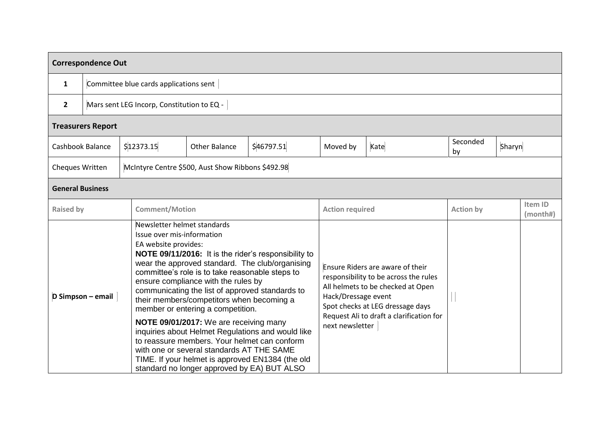| <b>Correspondence Out</b> |  |            |                                                                                                                                                                                                                                                                                                                                                                                                                                                                                                                                                                                                                                                                                                                            |            |                                                                                                                                                                                                                                          |  |                  |        |                     |  |
|---------------------------|--|------------|----------------------------------------------------------------------------------------------------------------------------------------------------------------------------------------------------------------------------------------------------------------------------------------------------------------------------------------------------------------------------------------------------------------------------------------------------------------------------------------------------------------------------------------------------------------------------------------------------------------------------------------------------------------------------------------------------------------------------|------------|------------------------------------------------------------------------------------------------------------------------------------------------------------------------------------------------------------------------------------------|--|------------------|--------|---------------------|--|
| $\mathbf{1}$              |  |            | Committee blue cards applications sent                                                                                                                                                                                                                                                                                                                                                                                                                                                                                                                                                                                                                                                                                     |            |                                                                                                                                                                                                                                          |  |                  |        |                     |  |
| $\overline{2}$            |  |            | Mars sent LEG Incorp, Constitution to EQ -                                                                                                                                                                                                                                                                                                                                                                                                                                                                                                                                                                                                                                                                                 |            |                                                                                                                                                                                                                                          |  |                  |        |                     |  |
| <b>Treasurers Report</b>  |  |            |                                                                                                                                                                                                                                                                                                                                                                                                                                                                                                                                                                                                                                                                                                                            |            |                                                                                                                                                                                                                                          |  |                  |        |                     |  |
| <b>Cashbook Balance</b>   |  | \$12373.15 | <b>Other Balance</b>                                                                                                                                                                                                                                                                                                                                                                                                                                                                                                                                                                                                                                                                                                       | \$46797.51 | Kate<br>Moved by                                                                                                                                                                                                                         |  | Seconded<br>by   | Sharyn |                     |  |
| Cheques Written           |  |            | McIntyre Centre \$500, Aust Show Ribbons \$492.98                                                                                                                                                                                                                                                                                                                                                                                                                                                                                                                                                                                                                                                                          |            |                                                                                                                                                                                                                                          |  |                  |        |                     |  |
| <b>General Business</b>   |  |            |                                                                                                                                                                                                                                                                                                                                                                                                                                                                                                                                                                                                                                                                                                                            |            |                                                                                                                                                                                                                                          |  |                  |        |                     |  |
| <b>Raised by</b>          |  |            | <b>Comment/Motion</b>                                                                                                                                                                                                                                                                                                                                                                                                                                                                                                                                                                                                                                                                                                      |            | <b>Action required</b>                                                                                                                                                                                                                   |  | <b>Action by</b> |        | Item ID<br>(month#) |  |
| D Simpson - email         |  |            | Newsletter helmet standards<br>Issue over mis-information<br>EA website provides:<br>NOTE 09/11/2016: It is the rider's responsibility to<br>wear the approved standard. The club/organising<br>committee's role is to take reasonable steps to<br>ensure compliance with the rules by<br>communicating the list of approved standards to<br>their members/competitors when becoming a<br>member or entering a competition.<br>NOTE 09/01/2017: We are receiving many<br>inquiries about Helmet Regulations and would like<br>to reassure members. Your helmet can conform<br>with one or several standards AT THE SAME<br>TIME. If your helmet is approved EN1384 (the old<br>standard no longer approved by EA) BUT ALSO |            | Ensure Riders are aware of their<br>responsibility to be across the rules<br>All helmets to be checked at Open<br>Hack/Dressage event<br>Spot checks at LEG dressage days<br>Request Ali to draft a clarification for<br>next newsletter |  |                  |        |                     |  |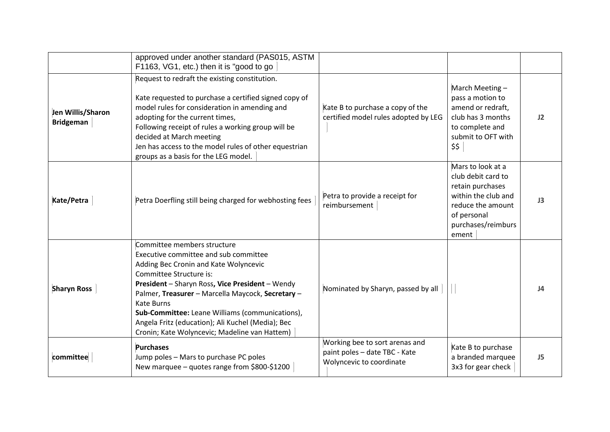|                                       | approved under another standard (PAS015, ASTM<br>F1163, VG1, etc.) then it is "good to go                                                                                                                                                                                                                                                                                                                                      |                                                                                             |                                                                                                                                                       |                 |
|---------------------------------------|--------------------------------------------------------------------------------------------------------------------------------------------------------------------------------------------------------------------------------------------------------------------------------------------------------------------------------------------------------------------------------------------------------------------------------|---------------------------------------------------------------------------------------------|-------------------------------------------------------------------------------------------------------------------------------------------------------|-----------------|
| Jen Willis/Sharon<br><b>Bridgeman</b> | Request to redraft the existing constitution.<br>Kate requested to purchase a certified signed copy of<br>model rules for consideration in amending and<br>adopting for the current times,<br>Following receipt of rules a working group will be<br>decided at March meeting<br>Jen has access to the model rules of other equestrian<br>groups as a basis for the LEG model.                                                  | Kate B to purchase a copy of the<br>certified model rules adopted by LEG                    | March Meeting-<br>pass a motion to<br>amend or redraft,<br>club has 3 months<br>to complete and<br>submit to OFT with<br>\$\$                         | 12              |
| Kate/Petra                            | Petra Doerfling still being charged for webhosting fees                                                                                                                                                                                                                                                                                                                                                                        | Petra to provide a receipt for<br>reimbursement                                             | Mars to look at a<br>club debit card to<br>retain purchases<br>within the club and<br>reduce the amount<br>of personal<br>purchases/reimburs<br>ement | J3              |
| <b>Sharyn Ross</b>                    | Committee members structure<br>Executive committee and sub committee<br>Adding Bec Cronin and Kate Wolyncevic<br>Committee Structure is:<br>President - Sharyn Ross, Vice President - Wendy<br>Palmer, Treasurer - Marcella Maycock, Secretary -<br><b>Kate Burns</b><br>Sub-Committee: Leane Williams (communications),<br>Angela Fritz (education); Ali Kuchel (Media); Bec<br>Cronin; Kate Wolyncevic; Madeline van Hattem) | Nominated by Sharyn, passed by all                                                          |                                                                                                                                                       | $\overline{14}$ |
| committee                             | <b>Purchases</b><br>Jump poles - Mars to purchase PC poles<br>New marquee - quotes range from \$800-\$1200                                                                                                                                                                                                                                                                                                                     | Working bee to sort arenas and<br>paint poles - date TBC - Kate<br>Wolyncevic to coordinate | Kate B to purchase<br>a branded marquee<br>3x3 for gear check                                                                                         | J5              |